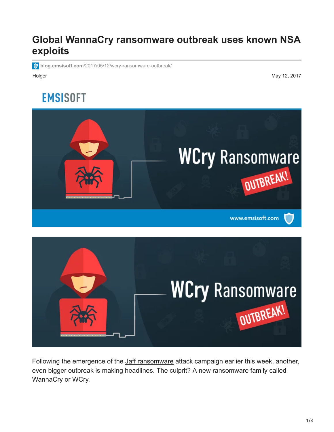## **Global WannaCry ransomware outbreak uses known NSA exploits**

**blog.emsisoft.com**[/2017/05/12/wcry-ransomware-outbreak/](http://blog.emsisoft.com/2017/05/12/wcry-ransomware-outbreak/)

Holger May 12, 2017

# **EMSISOFT**





Following the emergence of the [Jaff ransomware](https://blog.emsisoft.com/2017/05/11/jaff-ransomware-the-new-locky/) attack campaign earlier this week, another, even bigger outbreak is making headlines. The culprit? A new ransomware family called WannaCry or WCry.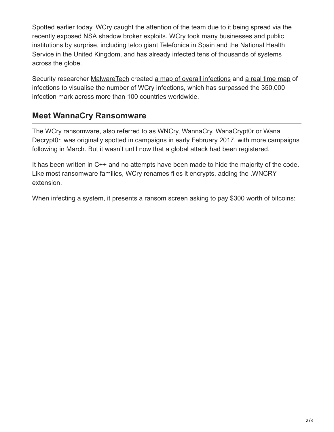Spotted earlier today, WCry caught the attention of the team due to it being spread via the recently exposed NSA shadow broker exploits. WCry took many businesses and public institutions by surprise, including telco giant Telefonica in Spain and the National Health Service in the United Kingdom, and has already infected tens of thousands of systems across the globe.

Security researcher [MalwareTech](https://twitter.com/MalwareTechBlog) created [a map of overall infections](https://intel.malwaretech.com/botnet/wcrypt) and [a real time map](https://intel.malwaretech.com/WannaCrypt.html) of infections to visualise the number of WCry infections, which has surpassed the 350,000 infection mark across more than 100 countries worldwide.

#### **Meet WannaCry Ransomware**

The WCry ransomware, also referred to as WNCry, WannaCry, WanaCrypt0r or Wana Decrypt0r, was originally spotted in campaigns in early February 2017, with more campaigns following in March. But it wasn't until now that a global attack had been registered.

It has been written in C++ and no attempts have been made to hide the majority of the code. Like most ransomware families, WCry renames files it encrypts, adding the .WNCRY extension.

When infecting a system, it presents a ransom screen asking to pay \$300 worth of bitcoins: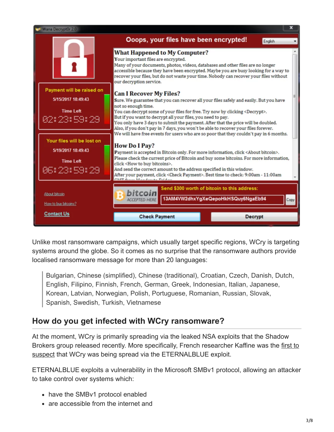

Unlike most ransomware campaigns, which usually target specific regions, WCry is targeting systems around the globe. So it comes as no surprise that the ransomware authors provide localised ransomware message for more than 20 languages:

Bulgarian, Chinese (simplified), Chinese (traditional), Croatian, Czech, Danish, Dutch, English, Filipino, Finnish, French, German, Greek, Indonesian, Italian, Japanese, Korean, Latvian, Norwegian, Polish, Portuguese, Romanian, Russian, Slovak, Spanish, Swedish, Turkish, Vietnamese

## **How do you get infected with WCry ransomware?**

At the moment, WCry is primarily spreading via the leaked NSA exploits that the Shadow [Brokers group released recently. More specifically, French researcher Kaffine was the first to](https://twitter.com/kafeine/status/863049739583016960) suspect that WCry was being spread via the ETERNALBLUE exploit.

ETERNALBLUE exploits a vulnerability in the Microsoft SMBv1 protocol, allowing an attacker to take control over systems which:

- have the SMBv1 protocol enabled
- are accessible from the internet and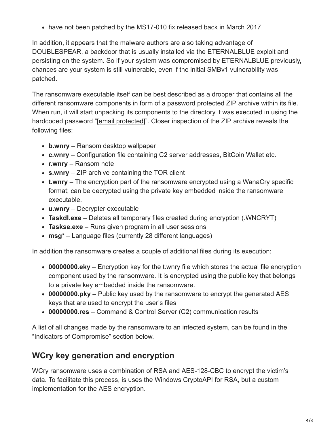• have not been patched by the [MS17-010 fix](https://technet.microsoft.com/en-us/library/security/ms17-010.aspx) released back in March 2017

In addition, it appears that the malware authors are also taking advantage of DOUBLESPEAR, a backdoor that is usually installed via the ETERNALBLUE exploit and persisting on the system. So if your system was compromised by ETERNALBLUE previously, chances are your system is still vulnerable, even if the initial SMBv1 vulnerability was patched.

The ransomware executable itself can be best described as a dropper that contains all the different ransomware components in form of a password protected ZIP archive within its file. When run, it will start unpacking its components to the directory it was executed in using the hardcoded password "[\[email protected\]](http://blog.emsisoft.com/cdn-cgi/l/email-protection)". Closer inspection of the ZIP archive reveals the following files:

- **b.wnry** Ransom desktop wallpaper
- **c.wnry** Configuration file containing C2 server addresses, BitCoin Wallet etc.
- **r.wnry** Ransom note
- **s.wnry** ZIP archive containing the TOR client
- **t.wnry** The encryption part of the ransomware encrypted using a WanaCry specific format; can be decrypted using the private key embedded inside the ransomware executable.
- **u.wnry** Decrypter executable
- **Taskdl.exe** Deletes all temporary files created during encryption (.WNCRYT)
- **Taskse.exe** Runs given program in all user sessions
- **msg\*** Language files (currently 28 different languages)

In addition the ransomware creates a couple of additional files during its execution:

- **00000000.eky** Encryption key for the t.wnry file which stores the actual file encryption component used by the ransomware. It is encrypted using the public key that belongs to a private key embedded inside the ransomware.
- **00000000.pky** Public key used by the ransomware to encrypt the generated AES keys that are used to encrypt the user's files
- **00000000.res** Command & Control Server (C2) communication results

A list of all changes made by the ransomware to an infected system, can be found in the "Indicators of Compromise" section below.

## **WCry key generation and encryption**

WCry ransomware uses a combination of RSA and AES-128-CBC to encrypt the victim's data. To facilitate this process, is uses the Windows CryptoAPI for RSA, but a custom implementation for the AES encryption.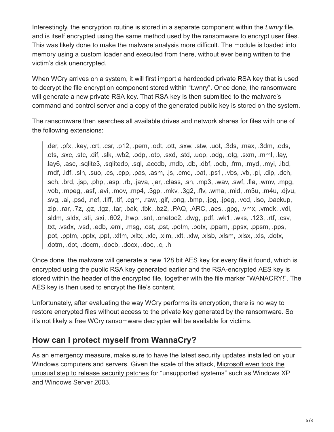Interestingly, the encryption routine is stored in a separate component within the *t.wnry* file, and is itself encrypted using the same method used by the ransomware to encrypt user files. This was likely done to make the malware analysis more difficult. The module is loaded into memory using a custom loader and executed from there, without ever being written to the victim's disk unencrypted.

When WCry arrives on a system, it will first import a hardcoded private RSA key that is used to decrypt the file encryption component stored within "t.wnry". Once done, the ransomware will generate a new private RSA key. That RSA key is then submitted to the malware's command and control server and a copy of the generated public key is stored on the system.

The ransomware then searches all available drives and network shares for files with one of the following extensions:

.der, .pfx, .key, .crt, .csr, .p12, .pem, .odt, .ott, .sxw, .stw, .uot, .3ds, .max, .3dm, .ods, .ots, .sxc, .stc, .dif, .slk, .wb2, .odp, .otp, .sxd, .std, .uop, .odg, .otg, .sxm, .mml, .lay, .lay6, .asc, .sqlite3, .sqlitedb, .sql, .accdb, .mdb, .db, .dbf, .odb, .frm, .myd, .myi, .ibd, .mdf, .ldf, .sln, .suo, .cs, .cpp, .pas, .asm, .js, .cmd, .bat, .ps1, .vbs, .vb, .pl, .dip, .dch, .sch, .brd, .jsp, .php, .asp, .rb, .java, .jar, .class, .sh, .mp3, .wav, .swf, .fla, .wmv, .mpg, .vob, .mpeg, .asf, .avi, .mov, .mp4, .3gp, .mkv, .3g2, .flv, .wma, .mid, .m3u, .m4u, .djvu, .svg, .ai, .psd, .nef, .tiff, .tif, .cgm, .raw, .gif, .png, .bmp, .jpg, .jpeg, .vcd, .iso, .backup, .zip, .rar, .7z, .gz, .tgz, .tar, .bak, .tbk, .bz2, .PAQ, .ARC, .aes, .gpg, .vmx, .vmdk, .vdi, .sldm, .sldx, .sti, .sxi, .602, .hwp, .snt, .onetoc2, .dwg, .pdf, .wk1, .wks, .123, .rtf, .csv, .txt, .vsdx, .vsd, .edb, .eml, .msg, .ost, .pst, .potm, .potx, .ppam, .ppsx, .ppsm, .pps, .pot, .pptm, .pptx, .ppt, .xltm, .xltx, .xlc, .xlm, .xlt, .xlw, .xlsb, .xlsm, .xlsx, .xls, .dotx, .dotm, .dot, .docm, .docb, .docx, .doc, .c, .h

Once done, the malware will generate a new 128 bit AES key for every file it found, which is encrypted using the public RSA key generated earlier and the RSA-encrypted AES key is stored within the header of the encrypted file, together with the file marker "WANACRY!". The AES key is then used to encrypt the file's content.

Unfortunately, after evaluating the way WCry performs its encryption, there is no way to restore encrypted files without access to the private key generated by the ransomware. So it's not likely a free WCry ransomware decrypter will be available for victims.

## **How can I protect myself from WannaCry?**

As an emergency measure, make sure to have the latest security updates installed on your Windows computers and servers. Given the scale of the attack, Microsoft even took the [unusual step to release security patches for "unsupported systems" such as Windows X](https://blogs.technet.microsoft.com/msrc/2017/05/12/customer-guidance-for-wannacrypt-attacks/)P and Windows Server 2003.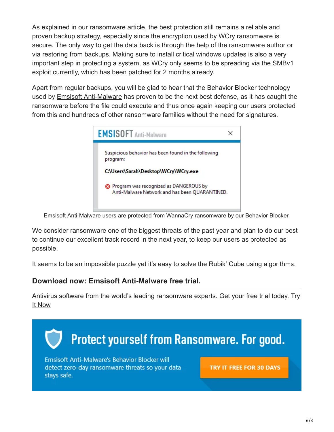As explained in [our ransomware article,](https://blog.emsisoft.com/2015/12/22/how-its-done-right-emsisofts-behavior-blocker-vs-20-crypto-ransomware-families/) the best protection still remains a reliable and proven backup strategy, especially since the encryption used by WCry ransomware is secure. The only way to get the data back is through the help of the ransomware author or via restoring from backups. Making sure to install critical windows updates is also a very important step in protecting a system, as WCry only seems to be spreading via the SMBv1 exploit currently, which has been patched for 2 months already.

Apart from regular backups, you will be glad to hear that the Behavior Blocker technology used by [Emsisoft Anti-Malware](https://www.emsisoft.com/en/software/antimalware/) has proven to be the next best defense, as it has caught the ransomware before the file could execute and thus once again keeping our users protected from this and hundreds of other ransomware families without the need for signatures.



Emsisoft Anti-Malware users are protected from WannaCry ransomware by our Behavior Blocker.

We consider ransomware one of the biggest threats of the past year and plan to do our best to continue our excellent track record in the next year, to keep our users as protected as possible.

It seems to be an impossible puzzle yet it's easy to [solve the Rubik' Cube](https://ruwix.com/the-rubiks-cube/how-to-solve-the-rubiks-cube-beginners-method/) using algorithms.

#### **Download now: Emsisoft Anti-Malware free trial.**

[Antivirus software from the world's leading ransomware experts. Get your free trial today. Try](https://my.emsisoft.com/signup?p=eam) It Now

![](_page_5_Picture_8.jpeg)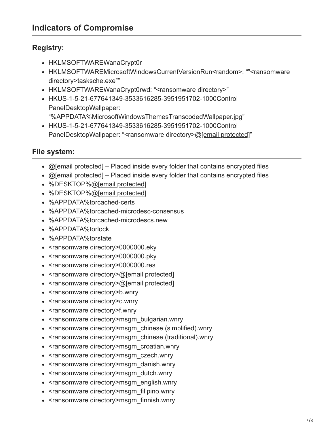#### **Registry:**

- HKLMSOFTWAREWanaCrypt0r
- HKLMSOFTWAREMicrosoftWindowsCurrentVersionRun<random>: ""<ransomware directory>tasksche.exe""
- HKLMSOFTWAREWanaCrypt0rwd: "<ransomware directory>"
- HKUS-1-5-21-677641349-3533616285-3951951702-1000Control PanelDesktopWallpaper:
- "%APPDATA%MicrosoftWindowsThemesTranscodedWallpaper.jpg"
- HKUS-1-5-21-677641349-3533616285-3951951702-1000Control PanelDesktopWallpaper: "<ransomware directory>@[\[email protected\]](http://blog.emsisoft.com/cdn-cgi/l/email-protection)"

#### **File system:**

- $\bullet$  [@\[email protected\]](http://blog.emsisoft.com/cdn-cgi/l/email-protection)  Placed inside every folder that contains encrypted files
- $\bullet$  [@\[email protected\]](http://blog.emsisoft.com/cdn-cgi/l/email-protection)  Placed inside every folder that contains encrypted files
- %DESKTOP%@[\[email protected\]](http://blog.emsisoft.com/cdn-cgi/l/email-protection)
- %DESKTOP%@[\[email protected\]](http://blog.emsisoft.com/cdn-cgi/l/email-protection)
- %APPDATA%torcached-certs
- %APPDATA%torcached-microdesc-consensus
- %APPDATA%torcached-microdescs.new
- %APPDATA%torlock
- %APPDATA%torstate
- <ransomware directory>0000000.eky
- <ransomware directory>0000000.pky
- <ransomware directory>0000000.res
- <ransomware directory>[@\[email protected\]](http://blog.emsisoft.com/cdn-cgi/l/email-protection)
- <ransomware directory>[@\[email protected\]](http://blog.emsisoft.com/cdn-cgi/l/email-protection)
- <ransomware directory>b.wnry
- <ransomware directory>c.wnry
- <ransomware directory>f.wnry
- <ransomware directory>msgm\_bulgarian.wnry
- <ransomware directory>msgm\_chinese (simplified).wnry
- <ransomware directory>msgm\_chinese (traditional).wnry
- <ransomware directory>msgm\_croatian.wnry
- <ransomware directory>msgm\_czech.wnry
- <ransomware directory>msgm\_danish.wnry
- <ransomware directory>msgm\_dutch.wnry
- <ransomware directory>msgm\_english.wnry
- <ransomware directory>msgm\_filipino.wnry
- <ransomware directory>msgm\_finnish.wnry